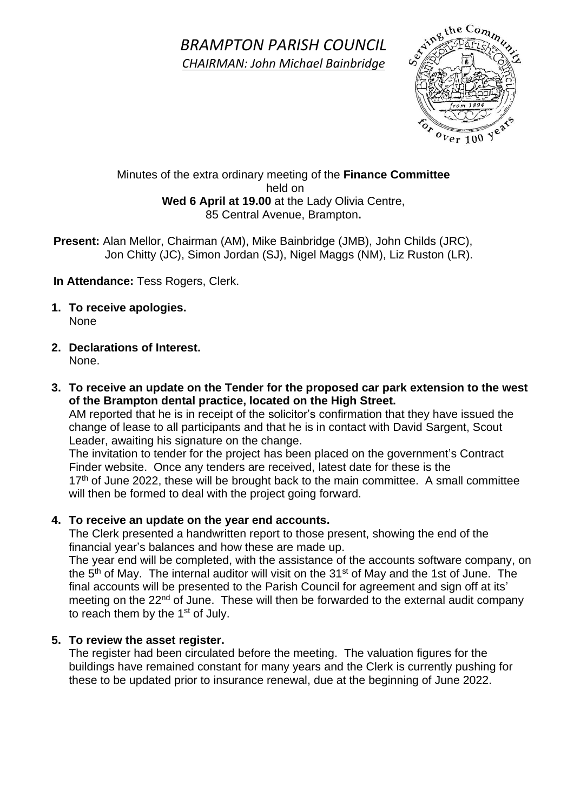*BRAMPTON PARISH COUNCIL CHAIRMAN: John Michael Bainbridge*



## Minutes of the extra ordinary meeting of the **Finance Committee** held on **Wed 6 April at 19.00** at the Lady Olivia Centre, 85 Central Avenue, Brampton**.**

 **Present:** Alan Mellor, Chairman (AM), Mike Bainbridge (JMB), John Childs (JRC), Jon Chitty (JC), Simon Jordan (SJ), Nigel Maggs (NM), Liz Ruston (LR).

**In Attendance:** Tess Rogers, Clerk.

- **1. To receive apologies.** None
- **2. Declarations of Interest.** None.
- **3. To receive an update on the Tender for the proposed car park extension to the west of the Brampton dental practice, located on the High Street.**

AM reported that he is in receipt of the solicitor's confirmation that they have issued the change of lease to all participants and that he is in contact with David Sargent, Scout Leader, awaiting his signature on the change.

The invitation to tender for the project has been placed on the government's Contract Finder website. Once any tenders are received, latest date for these is the  $17<sup>th</sup>$  of June 2022, these will be brought back to the main committee. A small committee will then be formed to deal with the project going forward.

# **4. To receive an update on the year end accounts.**

The Clerk presented a handwritten report to those present, showing the end of the financial year's balances and how these are made up.

The year end will be completed, with the assistance of the accounts software company, on the  $5<sup>th</sup>$  of May. The internal auditor will visit on the 31<sup>st</sup> of May and the 1st of June. The final accounts will be presented to the Parish Council for agreement and sign off at its' meeting on the 22<sup>nd</sup> of June. These will then be forwarded to the external audit company to reach them by the 1<sup>st</sup> of July.

## **5. To review the asset register.**

The register had been circulated before the meeting. The valuation figures for the buildings have remained constant for many years and the Clerk is currently pushing for these to be updated prior to insurance renewal, due at the beginning of June 2022.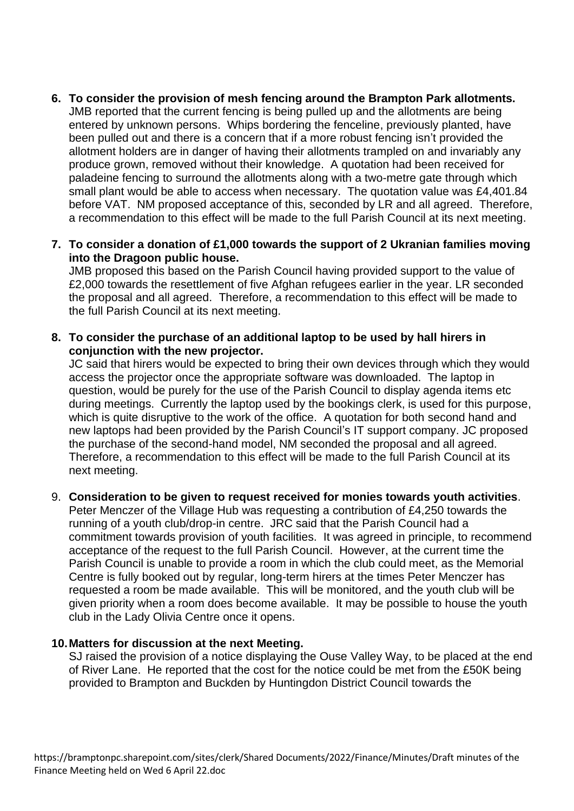- **6. To consider the provision of mesh fencing around the Brampton Park allotments.** JMB reported that the current fencing is being pulled up and the allotments are being entered by unknown persons. Whips bordering the fenceline, previously planted, have been pulled out and there is a concern that if a more robust fencing isn't provided the allotment holders are in danger of having their allotments trampled on and invariably any produce grown, removed without their knowledge. A quotation had been received for paladeine fencing to surround the allotments along with a two-metre gate through which small plant would be able to access when necessary. The quotation value was £4,401.84 before VAT. NM proposed acceptance of this, seconded by LR and all agreed. Therefore, a recommendation to this effect will be made to the full Parish Council at its next meeting.
- **7. To consider a donation of £1,000 towards the support of 2 Ukranian families moving into the Dragoon public house.**

JMB proposed this based on the Parish Council having provided support to the value of £2,000 towards the resettlement of five Afghan refugees earlier in the year. LR seconded the proposal and all agreed. Therefore, a recommendation to this effect will be made to the full Parish Council at its next meeting.

**8. To consider the purchase of an additional laptop to be used by hall hirers in conjunction with the new projector.**

JC said that hirers would be expected to bring their own devices through which they would access the projector once the appropriate software was downloaded. The laptop in question, would be purely for the use of the Parish Council to display agenda items etc during meetings. Currently the laptop used by the bookings clerk, is used for this purpose, which is quite disruptive to the work of the office. A quotation for both second hand and new laptops had been provided by the Parish Council's IT support company. JC proposed the purchase of the second-hand model, NM seconded the proposal and all agreed. Therefore, a recommendation to this effect will be made to the full Parish Council at its next meeting.

## 9. **Consideration to be given to request received for monies towards youth activities**.

Peter Menczer of the Village Hub was requesting a contribution of £4,250 towards the running of a youth club/drop-in centre. JRC said that the Parish Council had a commitment towards provision of youth facilities. It was agreed in principle, to recommend acceptance of the request to the full Parish Council. However, at the current time the Parish Council is unable to provide a room in which the club could meet, as the Memorial Centre is fully booked out by regular, long-term hirers at the times Peter Menczer has requested a room be made available. This will be monitored, and the youth club will be given priority when a room does become available. It may be possible to house the youth club in the Lady Olivia Centre once it opens.

#### **10.Matters for discussion at the next Meeting.**

SJ raised the provision of a notice displaying the Ouse Valley Way, to be placed at the end of River Lane. He reported that the cost for the notice could be met from the £50K being provided to Brampton and Buckden by Huntingdon District Council towards the